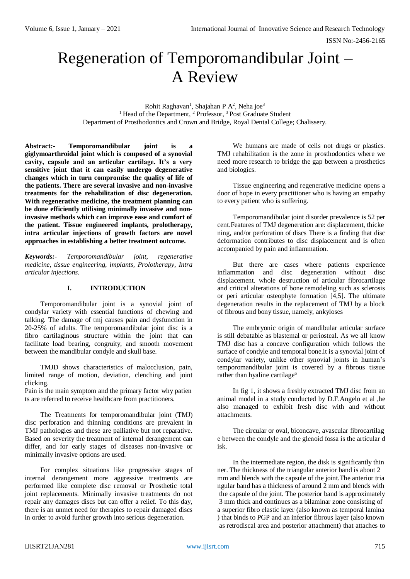# Regeneration of Temporomandibular Joint – A Review

Rohit Raghavan<sup>1</sup>, Shajahan P A<sup>2</sup>, Neha joe<sup>3</sup> <sup>1</sup> Head of the Department,  $2$  Professor,  $3$  Post Graduate Student Department of Prosthodontics and Crown and Bridge, Royal Dental College; Chalissery.

**Abstract***:-* **Temporomandibular joint is a giglymoarthroidal joint which is composed of a synovial cavity, capsule and an articular cartilage. It's a very sensitive joint that it can easily undergo degenerative changes which in turn compromise the quality of life of the patients. There are several invasive and non-invasive treatments for the rehabilitation of disc degeneration. With regenerative medicine, the treatment planning can be done efficiently utilising minimally invasive and noninvasive methods which can improve ease and comfort of the patient. Tissue engineered implants, prolotherapy, intra articular injections of growth factors are novel approaches in establishing a better treatment outcome.**

*Keywords:- Temporomandibular joint, regenerative medicine, tissue engineering, implants, Prolotherapy, Intra articular injections.*

#### **I. INTRODUCTION**

Temporomandibular joint is a synovial joint of condylar variety with essential functions of chewing and talking. The damage of tmj causes pain and dysfunction in 20-25% of adults. The temporomandibular joint disc is a fibro cartilaginous structure within the joint that can facilitate load bearing, congruity, and smooth movement between the mandibular condyle and skull base.

TMJD shows characteristics of malocclusion, pain, limited range of motion, deviation, clenching and joint clicking.

Pain is the main symptom and the primary factor why patien ts are referred to receive healthcare from practitioners.

The Treatments for temporomandibular joint (TMJ) disc perforation and thinning conditions are prevalent in TMJ pathologies and these are palliative but not reparative. Based on severity the treatment of internal derangement can differ, and for early stages of diseases non-invasive or minimally invasive options are used.

For complex situations like progressive stages of internal derangement more aggressive treatments are performed like complete disc removal or Prosthetic total joint replacements. Minimally invasive treatments do not repair any damages discs but can offer a relief. To this day, there is an unmet need for therapies to repair damaged discs in order to avoid further growth into serious degeneration.

We humans are made of cells not drugs or plastics. TMJ rehabilitation is the zone in prosthodontics where we need more research to bridge the gap between a prosthetics and biologics.

Tissue engineering and regenerative medicine opens a door of hope in every practitioner who is having an empathy to every patient who is suffering.

Temporomandibular joint disorder prevalence is 52 per cent.Features of TMJ degeneration are: displacement, thicke ning, and/or perforation of discs There is a finding that disc deformation contributes to disc displacement and is often accompanied by pain and inflammation.

But there are cases where patients experience inflammation and disc degeneration without disc displacement. whole destruction of articular fibrocartilage and critical alterations of bone remodeling such as sclerosis or peri articular osteophyte formation [4,5]. The ultimate degeneration results in the replacement of TMJ by a block of fibrous and bony tissue, namely, ankyloses

The embryonic origin of mandibular articular surface is still debatable as blastemal or periosteal. As we all know TMJ disc has a concave configuration which follows the surface of condyle and temporal bone.it is a synovial joint of condylar variety, unlike other synovial joints in human's temporomandibular joint is covered by a fibrous tissue rather than hyaline cartilage<sup>6</sup>

In fig 1, it shows a freshly extracted TMJ disc from an animal model in a study conducted by D.F.Angelo et al ,he also managed to exhibit fresh disc with and without attachments.

The circular or oval, biconcave, avascular fibrocartilag e between the condyle and the glenoid fossa is the articular d isk.

In the intermediate region, the disk is significantly thin ner. The thickness of the triangular anterior band is about 2 mm and blends with the capsule of the joint.The anterior tria ngular band has a thickness of around 2 mm and blends with the capsule of the joint. The posterior band is approximately 3 mm thick and continues as a bilaminar zone consisting of a superior fibro elastic layer (also known as temporal lamina ) that binds to PGP and an inferior fibrous layer (also known as retrodiscal area and posterior attachment) that attaches to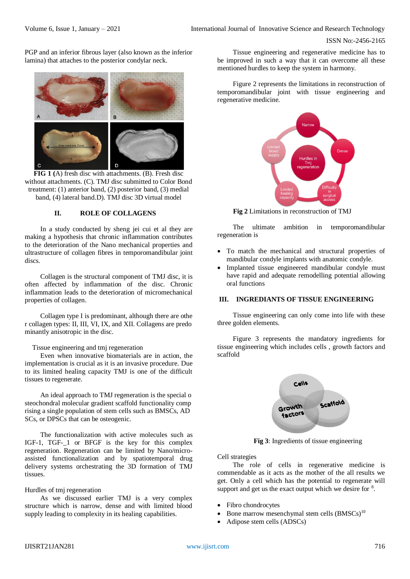PGP and an inferior fibrous layer (also known as the inferior lamina) that attaches to the posterior condylar neck.



**FIG 1 (**A) fresh disc with attachments. (B). Fresh disc without attachments. (C). TMJ disc submitted to Color Bond treatment: (1) anterior band, (2) posterior band, (3) medial band, (4) lateral band.D). TMJ disc 3D virtual model

#### **II. ROLE OF COLLAGENS**

In a study conducted by sheng jei cui et al they are making a hypothesis that chronic inflammation contributes to the deterioration of the Nano mechanical properties and ultrastructure of collagen fibres in temporomandibular joint discs.

Collagen is the structural component of TMJ disc, it is often affected by inflammation of the disc. Chronic inflammation leads to the deterioration of micromechanical properties of collagen.

Collagen type I is predominant, although there are othe r collagen types: II, III, VI, IX, and XII. Collagens are predo minantly anisotropic in the disc.

#### Tissue engineering and tmj regeneration

Even when innovative biomaterials are in action, the implementation is crucial as it is an invasive procedure. Due to its limited healing capacity TMJ is one of the difficult tissues to regenerate.

An ideal approach to TMJ regeneration is the special o steochondral molecular gradient scaffold functionality comp rising a single population of stem cells such as BMSCs, AD SCs, or DPSCs that can be osteogenic.

The functionalization with active molecules such as IGF-1, TGF-\_1 or BFGF is the key for this complex regeneration. Regeneration can be limited by Nano/microassisted functionalization and by spatiotemporal drug delivery systems orchestrating the 3D formation of TMJ tissues.

#### Hurdles of tmj regeneration

As we discussed earlier TMJ is a very complex structure which is narrow, dense and with limited blood supply leading to complexity in its healing capabilities.

Tissue engineering and regenerative medicine has to be improved in such a way that it can overcome all these mentioned hurdles to keep the system in harmony.

Figure 2 represents the limitations in reconstruction of temporomandibular joint with tissue engineering and regenerative medicine.



 **Fig 2** Limitations in reconstruction of TMJ

The ultimate ambition in temporomandibular regeneration is

- To match the mechanical and structural properties of mandibular condyle implants with anatomic condyle.
- Implanted tissue engineered mandibular condyle must have rapid and adequate remodelling potential allowing oral functions

## **III. INGREDIANTS OF TISSUE ENGINEERING**

Tissue engineering can only come into life with these three golden elements.

Figure 3 represents the mandatory ingredients for tissue engineering which includes cells , growth factors and scaffold



**Fig 3**: Ingredients of tissue engineering

Cell strategies

The role of cells in regenerative medicine is commendable as it acts as the mother of the all results we get. Only a cell which has the potential to regenerate will support and get us the exact output which we desire for  $8$ .

- Fibro chondrocytes
- Bone marrow mesenchymal stem cells  $(BMSCs)^{10}$
- Adipose stem cells (ADSCs)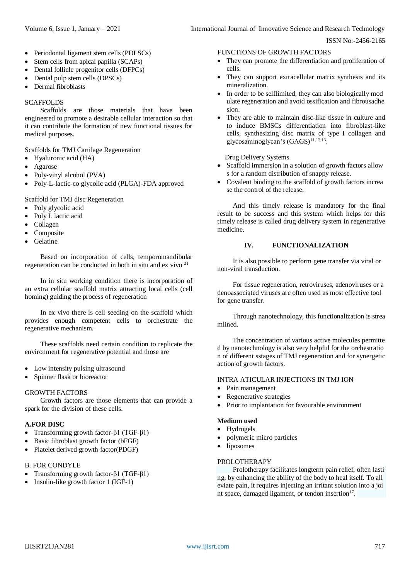- Periodontal ligament stem cells (PDLSCs)
- Stem cells from apical papilla (SCAPs)
- Dental follicle progenitor cells (DFPCs)
- Dental pulp stem cells (DPSCs)
- Dermal fibroblasts

## **SCAFFOLDS**

Scaffolds are those materials that have been engineered to promote a desirable cellular interaction so that it can contribute the formation of new functional tissues for medical purposes.

Scaffolds for TMJ Cartilage Regeneration

- Hyaluronic acid (HA)
- Agarose
- Poly-vinyl alcohol (PVA)
- Poly-L-lactic-co glycolic acid (PLGA)-FDA approved

Scaffold for TMJ disc Regeneration

- Poly glycolic acid
- Poly L lactic acid
- Collagen
- Composite
- Gelatine

Based on incorporation of cells, temporomandibular regeneration can be conducted in both in situ and ex vivo <sup>21</sup>

In in situ working condition there is incorporation of an extra cellular scaffold matrix attracting local cells (cell homing) guiding the process of regeneration

In ex vivo there is cell seeding on the scaffold which provides enough competent cells to orchestrate the regenerative mechanism.

These scaffolds need certain condition to replicate the environment for regenerative potential and those are

- Low intensity pulsing ultrasound
- Spinner flask or bioreactor

#### GROWTH FACTORS

Growth factors are those elements that can provide a spark for the division of these cells.

## **A.FOR DISC**

- Transforming growth factor-β1 (TGF-β1)
- Basic fibroblast growth factor (bFGF)
- Platelet derived growth factor(PDGF)

## B. FOR CONDYLE

- Transforming growth factor-β1 (TGF-β1)
- Insulin-like growth factor 1 (IGF-1)

#### FUNCTIONS OF GROWTH FACTORS

- They can promote the differentiation and proliferation of cells.
- They can support extracellular matrix synthesis and its mineralization.
- In order to be selflimited, they can also biologically mod ulate regeneration and avoid ossification and fibrousadhe sion.
- They are able to maintain disc-like tissue in culture and to induce BMSCs differentiation into fibroblast-like cells, synthesizing disc matrix of type I collagen and glycosaminoglycan's (GAGS)<sup>11,12,13</sup>.

Drug Delivery Systems

- Scaffold immersion in a solution of growth factors allow s for a random distribution of snappy release.
- Covalent binding to the scaffold of growth factors increa se the control of the release.

And this timely release is mandatory for the final result to be success and this system which helps for this timely release is called drug delivery system in regenerative medicine.

## **IV. FUNCTIONALIZATION**

It is also possible to perform gene transfer via viral or non-viral transduction.

For tissue regeneration, retroviruses, adenoviruses or a denoassociated viruses are often used as most effective tool for gene transfer.

Through nanotechnology, this functionalization is strea mlined.

The concentration of various active molecules permitte d by nanotechnology is also very helpful for the orchestratio n of different sstages of TMJ regeneration and for synergetic action of growth factors.

## INTRA ATICULAR INJECTIONS IN TMJ ION

- Pain management
- Regenerative strategies
- Prior to implantation for favourable environment

## **Medium used**

- Hydrogels
- polymeric micro particles
- liposomes

#### PROLOTHERAPY

Prolotherapy facilitates longterm pain relief, often lasti ng, by enhancing the ability of the body to heal itself. To all eviate pain, it requires injecting an irritant solution into a joi nt space, damaged ligament, or tendon insertion<sup>17</sup>.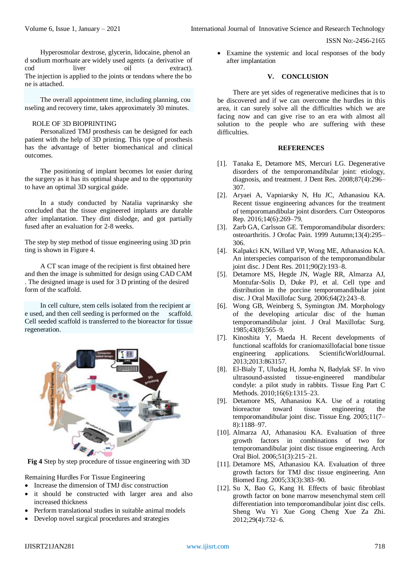Hyperosmolar dextrose, glycerin, lidocaine, phenol an d sodium morrhuate are widely used agents (a derivative of cod liver oil extract). The injection is applied to the joints or tendons where the bo ne is attached.

The overall appointment time, including planning, cou nseling and recovery time, takes approximately 30 minutes.

## ROLE OF 3D BIOPRINTING

Personalized TMJ prosthesis can be designed for each patient with the help of 3D printing. This type of prosthesis has the advantage of better biomechanical and clinical outcomes.

The positioning of implant becomes lot easier during the surgery as it has its optimal shape and to the opportunity to have an optimal 3D surgical guide.

In a study conducted by Natalia vaprinarsky she concluded that the tissue engineered implants are durable after implantation. They dint dislodge, and got partially fused after an evaluation for 2-8 weeks.

The step by step method of tissue engineering using 3D prin ting is shown in Figure 4.

A CT scan image of the recipient is first obtained here and then the image is submitted for design using CAD CAM . The designed image is used for 3 D printing of the desired form of the scaffold.

In cell culture, stem cells isolated from the recipient ar e used, and then cell seeding is performed on the scaffold. Cell seeded scaffold is transferred to the bioreactor for tissue regeneration.



**Fig 4** Step by step procedure of tissue engineering with 3D

Remaining Hurdles For Tissue Engineering

- Increase the dimension of TMJ disc construction
- it should be constructed with larger area and also increased thickness
- Perform translational studies in suitable animal models
- Develop novel surgical procedures and strategies

 Examine the systemic and local responses of the body after implantation

# **V. CONCLUSION**

There are yet sides of regenerative medicines that is to be discovered and if we can overcome the hurdles in this area, it can surely solve all the difficulties which we are facing now and can give rise to an era with almost all solution to the people who are suffering with these difficulties.

#### **REFERENCES**

- [1]. Tanaka E, Detamore MS, Mercuri LG. Degenerative disorders of the temporomandibular joint: etiology, diagnosis, and treatment. J Dent Res. 2008;87(4):296– 307.
- [2]. Aryaei A, Vapniarsky N, Hu JC, Athanasiou KA. Recent tissue engineering advances for the treatment of temporomandibular joint disorders. Curr Osteoporos Rep. 2016;14(6):269–79.
- [3]. Zarb GA, Carlsson GE. Temporomandibular disorders: osteoarthritis. J Orofac Pain. 1999 Autumn;13(4):295– 306.
- [4]. Kalpakci KN, Willard VP, Wong ME, Athanasiou KA. An interspecies comparison of the temporomandibular joint disc. J Dent Res. 2011;90(2):193–8.
- [5]. Detamore MS, Hegde JN, Wagle RR, Almarza AJ, Montufar-Solis D, Duke PJ, et al. Cell type and distribution in the porcine temporomandibular joint disc. J Oral Maxillofac Surg. 2006;64(2):243–8.
- [6]. Wong GB, Weinberg S, Symington JM. Morphology of the developing articular disc of the human temporomandibular joint. J Oral Maxillofac Surg. 1985;43(8):565–9.
- [7]. Kinoshita Y, Maeda H. Recent developments of functional scaffolds for craniomaxillofacial bone tissue engineering applications. ScientificWorldJournal. 2013;2013:863157.
- [8]. El-Bialy T, Uludag H, Jomha N, Badylak SF. In vivo ultrasound-assisted tissue-engineered mandibular condyle: a pilot study in rabbits. Tissue Eng Part C Methods. 2010;16(6):1315–23.
- [9]. Detamore MS, Athanasiou KA. Use of a rotating bioreactor toward tissue engineering the temporomandibular joint disc. Tissue Eng. 2005;11(7– 8):1188–97.
- [10]. Almarza AJ, Athanasiou KA. Evaluation of three growth factors in combinations of two for temporomandibular joint disc tissue engineering. Arch Oral Biol. 2006;51(3):215–21.
- [11]. Detamore MS, Athanasiou KA. Evaluation of three growth factors for TMJ disc tissue engineering. Ann Biomed Eng. 2005;33(3):383–90.
- [12]. Su X, Bao G, Kang H. Effects of basic fibroblast growth factor on bone marrow mesenchymal stem cell differentiation into temporomandibular joint disc cells. Sheng Wu Yi Xue Gong Cheng Xue Za Zhi. 2012;29(4):732–6.